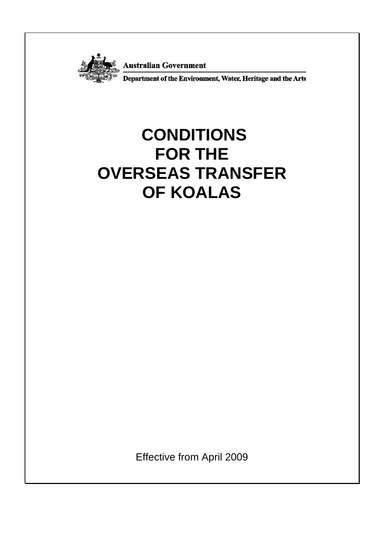

**Australian Government<br>Department of the Environment, Water, Heritage and the Arts** 

# **CONDITIONS FOR THE OVERSEAS TRANSFER OF KOALAS**

Effective from April 2009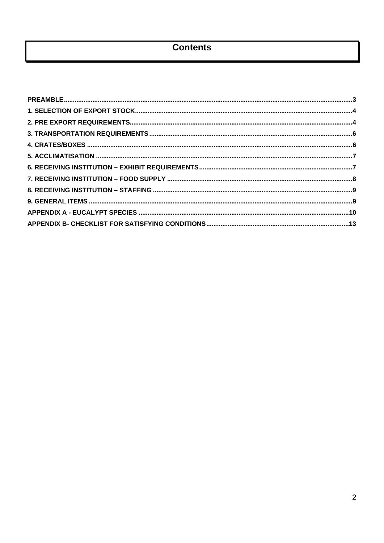# **Contents**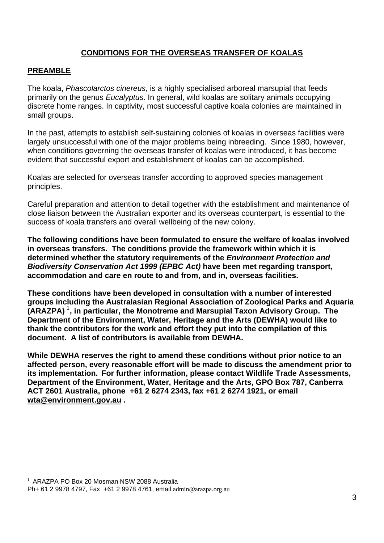# **CONDITIONS FOR THE OVERSEAS TRANSFER OF KOALAS**

#### <span id="page-2-0"></span>**PREAMBLE**

The koala, *Phascolarctos cinereus*, is a highly specialised arboreal marsupial that feeds primarily on the genus *Eucalyptus*. In general, wild koalas are solitary animals occupying discrete home ranges. In captivity, most successful captive koala colonies are maintained in small groups.

In the past, attempts to establish self-sustaining colonies of koalas in overseas facilities were largely unsuccessful with one of the major problems being inbreeding. Since 1980, however, when conditions governing the overseas transfer of koalas were introduced, it has become evident that successful export and establishment of koalas can be accomplished.

Koalas are selected for overseas transfer according to approved species management principles.

Careful preparation and attention to detail together with the establishment and maintenance of close liaison between the Australian exporter and its overseas counterpart, is essential to the success of koala transfers and overall wellbeing of the new colony.

**The following conditions have been formulated to ensure the welfare of koalas involved in overseas transfers. The conditions provide the framework within which it is determined whether the statutory requirements of the** *Environment Protection and Biodiversity Conservation Act 1999 (EPBC Act)* **have been met regarding transport, accommodation and care en route to and from, and in, overseas facilities.** 

**These conditions have been developed in consultation with a number of interested groups including the Australasian Regional Association of Zoological Parks and Aquaria (ARAZPA) [1](#page-2-1) , in particular, the Monotreme and Marsupial Taxon Advisory Group. The Department of the Environment, Water, Heritage and the Arts (DEWHA) would like to thank the contributors for the work and effort they put into the compilation of this document. A list of contributors is available from DEWHA.** 

**While DEWHA reserves the right to amend these conditions without prior notice to an affected person, every reasonable effort will be made to discuss the amendment prior to its implementation. For further information, please contact Wildlife Trade Assessments, Department of the Environment, Water, Heritage and the Arts, GPO Box 787, Canberra ACT 2601 Australia, phone +61 2 6274 2343, fax +61 2 6274 1921, or email wta@environment.gov.au .** 

l

<span id="page-2-1"></span><sup>1</sup> ARAZPA PO Box 20 Mosman NSW 2088 Australia

Ph+ 61 2 9978 4797, Fax +61 2 9978 4761, email admin@arazpa.org.au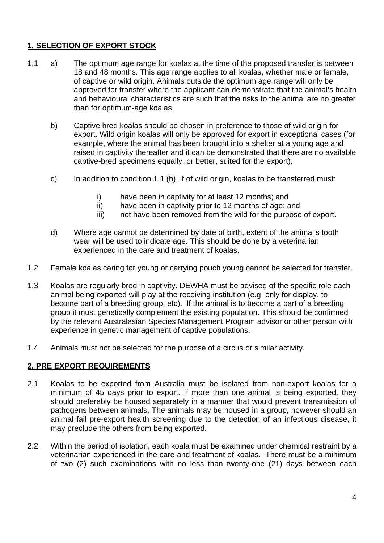# <span id="page-3-0"></span>**1. SELECTION OF EXPORT STOCK**

- 1.1 a) The optimum age range for koalas at the time of the proposed transfer is between 18 and 48 months. This age range applies to all koalas, whether male or female, of captive or wild origin. Animals outside the optimum age range will only be approved for transfer where the applicant can demonstrate that the animal's health and behavioural characteristics are such that the risks to the animal are no greater than for optimum-age koalas.
	- b) Captive bred koalas should be chosen in preference to those of wild origin for export. Wild origin koalas will only be approved for export in exceptional cases (for example, where the animal has been brought into a shelter at a young age and raised in captivity thereafter and it can be demonstrated that there are no available captive-bred specimens equally, or better, suited for the export).
	- c) In addition to condition 1.1 (b), if of wild origin, koalas to be transferred must:
		- i) have been in captivity for at least 12 months; and
		- ii) have been in captivity prior to 12 months of age; and
		- iii) not have been removed from the wild for the purpose of export.
	- d) Where age cannot be determined by date of birth, extent of the animal's tooth wear will be used to indicate age. This should be done by a veterinarian experienced in the care and treatment of koalas.
- 1.2 Female koalas caring for young or carrying pouch young cannot be selected for transfer.
- 1.3 Koalas are regularly bred in captivity. DEWHA must be advised of the specific role each animal being exported will play at the receiving institution (e.g. only for display, to become part of a breeding group, etc). If the animal is to become a part of a breeding group it must genetically complement the existing population. This should be confirmed by the relevant Australasian Species Management Program advisor or other person with experience in genetic management of captive populations.
- 1.4 Animals must not be selected for the purpose of a circus or similar activity.

#### <span id="page-3-1"></span>**2. PRE EXPORT REQUIREMENTS**

- 2.1 Koalas to be exported from Australia must be isolated from non-export koalas for a minimum of 45 days prior to export. If more than one animal is being exported, they should preferably be housed separately in a manner that would prevent transmission of pathogens between animals. The animals may be housed in a group, however should an animal fail pre-export health screening due to the detection of an infectious disease, it may preclude the others from being exported.
- 2.2 Within the period of isolation, each koala must be examined under chemical restraint by a veterinarian experienced in the care and treatment of koalas. There must be a minimum of two (2) such examinations with no less than twenty-one (21) days between each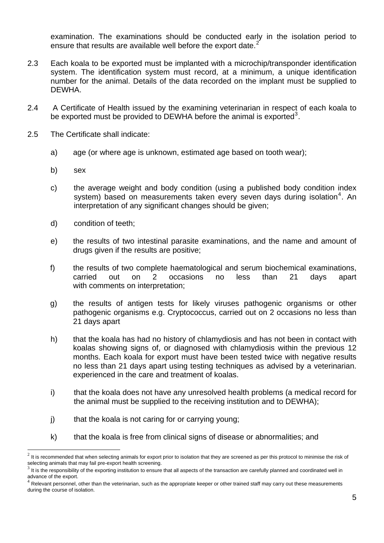examination. The examinations should be conducted early in the isolation period to ensure that results are available well before the export date.<sup>[2](#page-4-0)</sup>

- 2.3 Each koala to be exported must be implanted with a microchip/transponder identification system. The identification system must record, at a minimum, a unique identification number for the animal. Details of the data recorded on the implant must be supplied to DEWHA.
- 2.4 A Certificate of Health issued by the examining veterinarian in respect of each koala to be exported must be provided to DEWHA before the animal is exported<sup>[3](#page-4-1)</sup>.
- 2.5 The Certificate shall indicate:
	- a) age (or where age is unknown, estimated age based on tooth wear);
	- b) sex

l

- c) the average weight and body condition (using a published body condition index system) based on measurements taken every seven days during isolation<sup>[4](#page-4-2)</sup>. An interpretation of any significant changes should be given;
- d) condition of teeth;
- e) the results of two intestinal parasite examinations, and the name and amount of drugs given if the results are positive;
- f) the results of two complete haematological and serum biochemical examinations, carried out on 2 occasions no less than 21 days apart with comments on interpretation;
- g) the results of antigen tests for likely viruses pathogenic organisms or other pathogenic organisms e.g. Cryptococcus, carried out on 2 occasions no less than 21 days apart
- h) that the koala has had no history of chlamydiosis and has not been in contact with koalas showing signs of, or diagnosed with chlamydiosis within the previous 12 months. Each koala for export must have been tested twice with negative results no less than 21 days apart using testing techniques as advised by a veterinarian. experienced in the care and treatment of koalas.
- i) that the koala does not have any unresolved health problems (a medical record for the animal must be supplied to the receiving institution and to DEWHA);
- j) that the koala is not caring for or carrying young;
- k) that the koala is free from clinical signs of disease or abnormalities; and

<span id="page-4-0"></span> $2$  It is recommended that when selecting animals for export prior to isolation that they are screened as per this protocol to minimise the risk of selecting animals that may fail pre-export health screening.<br> $3$  It is the responsibility of the exporting institution to ensure that all aspects of the transaction are carefully planned and coordinated well in

<span id="page-4-1"></span>advance of the export.

<span id="page-4-2"></span> $4$  Relevant personnel, other than the veterinarian, such as the appropriate keeper or other trained staff may carry out these measurements during the course of isolation.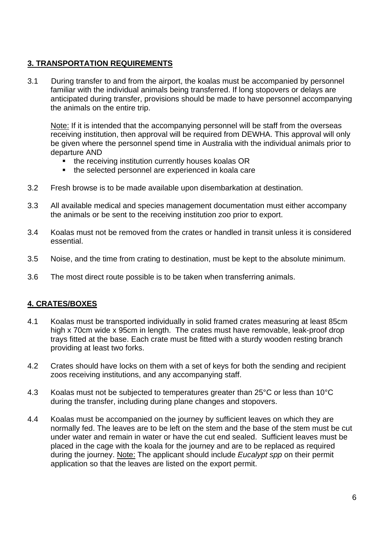# <span id="page-5-0"></span>**3. TRANSPORTATION REQUIREMENTS**

3.1 During transfer to and from the airport, the koalas must be accompanied by personnel familiar with the individual animals being transferred. If long stopovers or delays are anticipated during transfer, provisions should be made to have personnel accompanying the animals on the entire trip.

Note: If it is intended that the accompanying personnel will be staff from the overseas receiving institution, then approval will be required from DEWHA. This approval will only be given where the personnel spend time in Australia with the individual animals prior to departure AND

- the receiving institution currently houses koalas OR
- the selected personnel are experienced in koala care
- 3.2 Fresh browse is to be made available upon disembarkation at destination.
- 3.3 All available medical and species management documentation must either accompany the animals or be sent to the receiving institution zoo prior to export.
- 3.4 Koalas must not be removed from the crates or handled in transit unless it is considered essential.
- 3.5 Noise, and the time from crating to destination, must be kept to the absolute minimum.
- 3.6 The most direct route possible is to be taken when transferring animals.

#### <span id="page-5-1"></span>**4. CRATES/BOXES**

- 4.1 Koalas must be transported individually in solid framed crates measuring at least 85cm high x 70cm wide x 95cm in length. The crates must have removable, leak-proof drop trays fitted at the base. Each crate must be fitted with a sturdy wooden resting branch providing at least two forks.
- 4.2 Crates should have locks on them with a set of keys for both the sending and recipient zoos receiving institutions, and any accompanying staff.
- 4.3 Koalas must not be subjected to temperatures greater than 25°C or less than 10°C during the transfer, including during plane changes and stopovers.
- 4.4 Koalas must be accompanied on the journey by sufficient leaves on which they are normally fed. The leaves are to be left on the stem and the base of the stem must be cut under water and remain in water or have the cut end sealed. Sufficient leaves must be placed in the cage with the koala for the journey and are to be replaced as required during the journey. Note: The applicant should include *Eucalypt spp* on their permit application so that the leaves are listed on the export permit.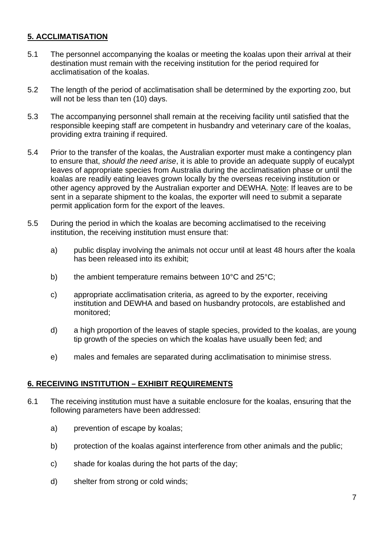# <span id="page-6-0"></span>**5. ACCLIMATISATION**

- 5.1 The personnel accompanying the koalas or meeting the koalas upon their arrival at their destination must remain with the receiving institution for the period required for acclimatisation of the koalas.
- 5.2 The length of the period of acclimatisation shall be determined by the exporting zoo, but will not be less than ten (10) days.
- 5.3 The accompanying personnel shall remain at the receiving facility until satisfied that the responsible keeping staff are competent in husbandry and veterinary care of the koalas, providing extra training if required.
- 5.4 Prior to the transfer of the koalas, the Australian exporter must make a contingency plan to ensure that, *should the need arise*, it is able to provide an adequate supply of eucalypt leaves of appropriate species from Australia during the acclimatisation phase or until the koalas are readily eating leaves grown locally by the overseas receiving institution or other agency approved by the Australian exporter and DEWHA. Note: If leaves are to be sent in a separate shipment to the koalas, the exporter will need to submit a separate permit application form for the export of the leaves.
- 5.5 During the period in which the koalas are becoming acclimatised to the receiving institution, the receiving institution must ensure that:
	- a) public display involving the animals not occur until at least 48 hours after the koala has been released into its exhibit;
	- b) the ambient temperature remains between 10°C and 25°C;
	- c) appropriate acclimatisation criteria, as agreed to by the exporter, receiving institution and DEWHA and based on husbandry protocols, are established and monitored;
	- d) a high proportion of the leaves of staple species, provided to the koalas, are young tip growth of the species on which the koalas have usually been fed; and
	- e) males and females are separated during acclimatisation to minimise stress.

#### <span id="page-6-1"></span>**6. RECEIVING INSTITUTION – EXHIBIT REQUIREMENTS**

- 6.1 The receiving institution must have a suitable enclosure for the koalas, ensuring that the following parameters have been addressed:
	- a) prevention of escape by koalas;
	- b) protection of the koalas against interference from other animals and the public;
	- c) shade for koalas during the hot parts of the day;
	- d) shelter from strong or cold winds;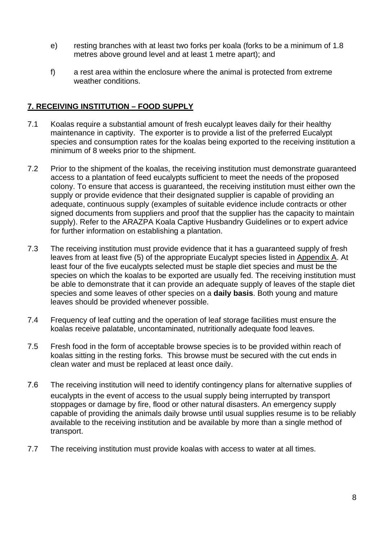- e) resting branches with at least two forks per koala (forks to be a minimum of 1.8 metres above ground level and at least 1 metre apart); and
- f) a rest area within the enclosure where the animal is protected from extreme weather conditions.

#### <span id="page-7-0"></span>**7. RECEIVING INSTITUTION – FOOD SUPPLY**

- 7.1 Koalas require a substantial amount of fresh eucalypt leaves daily for their healthy maintenance in captivity. The exporter is to provide a list of the preferred Eucalypt species and consumption rates for the koalas being exported to the receiving institution a minimum of 8 weeks prior to the shipment.
- 7.2 Prior to the shipment of the koalas, the receiving institution must demonstrate guaranteed access to a plantation of feed eucalypts sufficient to meet the needs of the proposed colony. To ensure that access is guaranteed, the receiving institution must either own the supply or provide evidence that their designated supplier is capable of providing an adequate, continuous supply (examples of suitable evidence include contracts or other signed documents from suppliers and proof that the supplier has the capacity to maintain supply). Refer to the ARAZPA Koala Captive Husbandry Guidelines or to expert advice for further information on establishing a plantation.
- 7.3 The receiving institution must provide evidence that it has a guaranteed supply of fresh leaves from at least five (5) of the appropriate Eucalypt species listed in Appendix A. At least four of the five eucalypts selected must be staple diet species and must be the species on which the koalas to be exported are usually fed. The receiving institution must be able to demonstrate that it can provide an adequate supply of leaves of the staple diet species and some leaves of other species on a **daily basis**. Both young and mature leaves should be provided whenever possible.
- 7.4 Frequency of leaf cutting and the operation of leaf storage facilities must ensure the koalas receive palatable, uncontaminated, nutritionally adequate food leaves.
- 7.5 Fresh food in the form of acceptable browse species is to be provided within reach of koalas sitting in the resting forks. This browse must be secured with the cut ends in clean water and must be replaced at least once daily.
- 7.6 The receiving institution will need to identify contingency plans for alternative supplies of eucalypts in the event of access to the usual supply being interrupted by transport stoppages or damage by fire, flood or other natural disasters. An emergency supply capable of providing the animals daily browse until usual supplies resume is to be reliably available to the receiving institution and be available by more than a single method of transport.
- 7.7 The receiving institution must provide koalas with access to water at all times.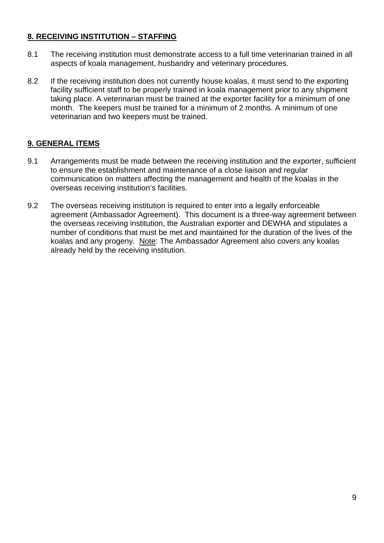# <span id="page-8-0"></span>**8. RECEIVING INSTITUTION – STAFFING**

- 8.1 The receiving institution must demonstrate access to a full time veterinarian trained in all aspects of koala management, husbandry and veterinary procedures.
- 8.2 If the receiving institution does not currently house koalas, it must send to the exporting facility sufficient staff to be properly trained in koala management prior to any shipment taking place. A veterinarian must be trained at the exporter facility for a minimum of one month. The keepers must be trained for a minimum of 2 months. A minimum of one veterinarian and two keepers must be trained.

# <span id="page-8-1"></span>**9. GENERAL ITEMS**

- 9.1 Arrangements must be made between the receiving institution and the exporter, sufficient to ensure the establishment and maintenance of a close liaison and regular communication on matters affecting the management and health of the koalas in the overseas receiving institution's facilities.
- 9.2 The overseas receiving institution is required to enter into a legally enforceable agreement (Ambassador Agreement). This document is a three-way agreement between the overseas receiving institution, the Australian exporter and DEWHA and stipulates a number of conditions that must be met and maintained for the duration of the lives of the koalas and any progeny. Note: The Ambassador Agreement also covers any koalas already held by the receiving institution.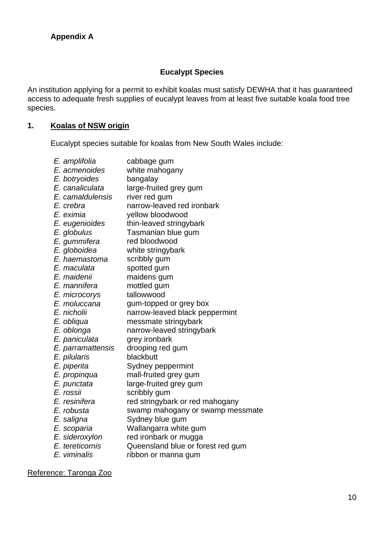#### **Eucalypt Species**

<span id="page-9-0"></span>An institution applying for a permit to exhibit koalas must satisfy DEWHA that it has guaranteed access to adequate fresh supplies of eucalypt leaves from at least five suitable koala food tree species.

# **1. Koalas of NSW origin**

Eucalypt species suitable for koalas from New South Wales include:

| E. amplifolia     | cabbage gum                       |
|-------------------|-----------------------------------|
| E. acmenoides     | white mahogany                    |
| E. botryoides     | bangalay                          |
| E. canaliculata   | large-fruited grey gum            |
| E. camaldulensis  | river red gum                     |
| E. crebra         | narrow-leaved red ironbark        |
| E. eximia         | yellow bloodwood                  |
| E. eugenioides    | thin-leaved stringybark           |
| E. globulus       | Tasmanian blue gum                |
| E. gummifera      | red bloodwood                     |
| E. globoidea      | white stringybark                 |
| E. haemastoma     | scribbly gum                      |
| E. maculata       | spotted gum                       |
| E. maidenii       | maidens gum                       |
| E. mannifera      | mottled gum                       |
| E. microcorys     | tallowwood                        |
| E. moluccana      | gum-topped or grey box            |
| E. nicholii       | narrow-leaved black peppermint    |
| E. obliqua        | messmate stringybark              |
| E. oblonga        | narrow-leaved stringybark         |
| E. paniculata     | grey ironbark                     |
| E. parramattensis | drooping red gum                  |
| E. pilularis      | blackbutt                         |
| E. piperita       | Sydney peppermint                 |
| E. propinqua      | mall-fruited grey gum             |
| E. punctata       | large-fruited grey gum            |
| E. rossii         | scribbly gum                      |
| E. resinifera     | red stringybark or red mahogany   |
| E. robusta        | swamp mahogany or swamp messmate  |
| E. saligna        | Sydney blue gum                   |
| E. scoparia       | Wallangarra white gum             |
| E. sideroxylon    | red ironbark or mugga             |
| E. tereticornis   | Queensland blue or forest red gum |
| E. viminalis      | ribbon or manna gum               |

Reference: Taronga Zoo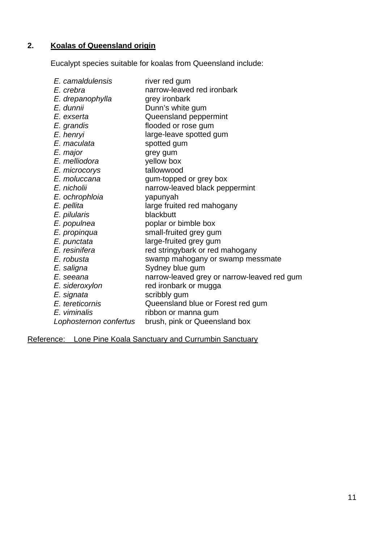# **2. Koalas of Queensland origin**

Eucalypt species suitable for koalas from Queensland include:

| E. camaldulensis<br>E. crebra<br>E. drepanophylla | river red gum<br>narrow-leaved red ironbark<br>grey ironbark |
|---------------------------------------------------|--------------------------------------------------------------|
| E. dunnii                                         | Dunn's white gum                                             |
| E. exserta                                        | Queensland peppermint                                        |
| E. grandis                                        | flooded or rose gum                                          |
| E. henryi                                         | large-leave spotted gum                                      |
| E. maculata                                       | spotted gum                                                  |
| E. major                                          | grey gum                                                     |
| E. melliodora                                     | yellow box                                                   |
| E. microcorys                                     | tallowwood                                                   |
| E. moluccana                                      | gum-topped or grey box                                       |
| E. nicholii                                       | narrow-leaved black peppermint                               |
| E. ochrophloia                                    | yapunyah                                                     |
| E. pellita                                        | large fruited red mahogany                                   |
| E. pilularis                                      | blackbutt                                                    |
| E. populnea                                       | poplar or bimble box                                         |
| E. propinqua                                      | small-fruited grey gum                                       |
| E. punctata                                       | large-fruited grey gum                                       |
| E. resinifera                                     | red stringybark or red mahogany                              |
| E. robusta                                        | swamp mahogany or swamp messmate                             |
| E. saligna                                        | Sydney blue gum                                              |
| E. seeana                                         | narrow-leaved grey or narrow-leaved red gum                  |
| E. sideroxylon                                    | red ironbark or mugga                                        |
| E. signata                                        | scribbly gum                                                 |
| E. tereticornis                                   | Queensland blue or Forest red gum                            |
| E. viminalis                                      | ribbon or manna gum                                          |
| Lophosternon confertus                            | brush, pink or Queensland box                                |

Reference: Lone Pine Koala Sanctuary and Currumbin Sanctuary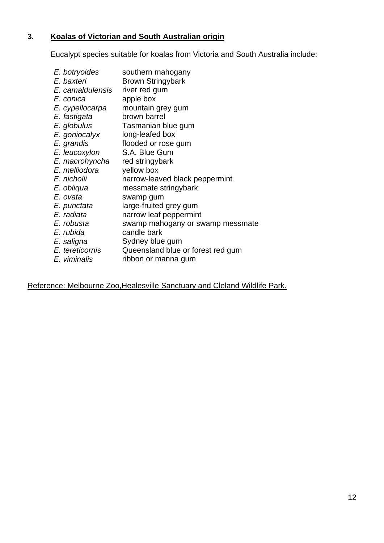# **3. Koalas of Victorian and South Australian origin**

Eucalypt species suitable for koalas from Victoria and South Australia include:

| E. botryoides    | southern mahogany                 |
|------------------|-----------------------------------|
| E. baxteri       | <b>Brown Stringybark</b>          |
| E. camaldulensis | river red gum                     |
| E. conica        | apple box                         |
| E. cypellocarpa  | mountain grey gum                 |
| E. fastigata     | brown barrel                      |
| E. globulus      | Tasmanian blue gum                |
| E. goniocalyx    | long-leafed box                   |
| E. grandis       | flooded or rose gum               |
| E. leucoxylon    | S.A. Blue Gum                     |
| E. macrohyncha   | red stringybark                   |
| E. melliodora    | yellow box                        |
| E. nicholii      | narrow-leaved black peppermint    |
| E. obliqua       | messmate stringybark              |
| E. ovata         | swamp gum                         |
| E. punctata      | large-fruited grey gum            |
| E. radiata       | narrow leaf peppermint            |
| E. robusta       | swamp mahogany or swamp messmate  |
| E. rubida        | candle bark                       |
| E. saligna       | Sydney blue gum                   |
| E. tereticornis  | Queensland blue or forest red gum |
| E. viminalis     | ribbon or manna gum               |
|                  |                                   |

Reference: Melbourne Zoo,Healesville Sanctuary and Cleland Wildlife Park.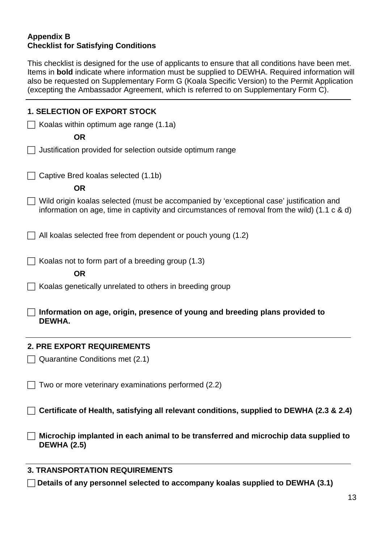#### <span id="page-12-0"></span>**Appendix B Checklist for Satisfying Conditions**

This checklist is designed for the use of applicants to ensure that all conditions have been met. Items in **bold** indicate where information must be supplied to DEWHA. Required information will also be requested on Supplementary Form G (Koala Specific Version) to the Permit Application (excepting the Ambassador Agreement, which is referred to on Supplementary Form C).

| <b>1. SELECTION OF EXPORT STOCK</b>                                                                                                                                                         |
|---------------------------------------------------------------------------------------------------------------------------------------------------------------------------------------------|
| Koalas within optimum age range (1.1a)                                                                                                                                                      |
| <b>OR</b>                                                                                                                                                                                   |
| Justification provided for selection outside optimum range                                                                                                                                  |
| Captive Bred koalas selected (1.1b)                                                                                                                                                         |
| <b>OR</b>                                                                                                                                                                                   |
| Wild origin koalas selected (must be accompanied by 'exceptional case' justification and<br>information on age, time in captivity and circumstances of removal from the wild) (1.1 $c$ & d) |
| All koalas selected free from dependent or pouch young (1.2)                                                                                                                                |
| Koalas not to form part of a breeding group (1.3)                                                                                                                                           |
| <b>OR</b>                                                                                                                                                                                   |
| Koalas genetically unrelated to others in breeding group                                                                                                                                    |
| Information on age, origin, presence of young and breeding plans provided to<br>DEWHA.                                                                                                      |
| <b>2. PRE EXPORT REQUIREMENTS</b>                                                                                                                                                           |
| Quarantine Conditions met (2.1)                                                                                                                                                             |
| Two or more veterinary examinations performed (2.2)                                                                                                                                         |
| Certificate of Health, satisfying all relevant conditions, supplied to DEWHA (2.3 & 2.4)                                                                                                    |
| Microchip implanted in each animal to be transferred and microchip data supplied to<br><b>DEWHA (2.5)</b>                                                                                   |
| <b>3. TRANSPORTATION REQUIREMENTS</b>                                                                                                                                                       |
| Details of any personnel selected to accompany koalas supplied to DEWHA (3.1)                                                                                                               |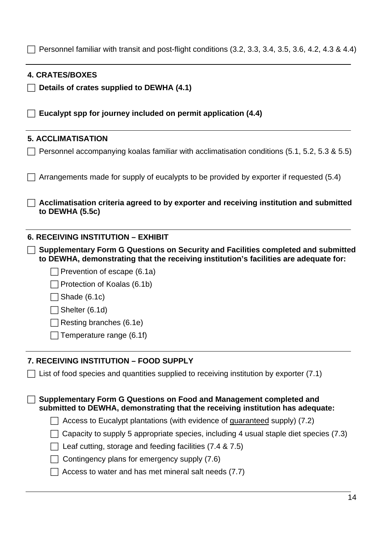Personnel familiar with transit and post-flight conditions  $(3.2, 3.3, 3.4, 3.5, 3.6, 4.2, 4.3 & 4.4)$ 

| <b>4. CRATES/BOXES</b>                                                                                                                                |
|-------------------------------------------------------------------------------------------------------------------------------------------------------|
| Details of crates supplied to DEWHA (4.1)                                                                                                             |
| Eucalypt spp for journey included on permit application (4.4)                                                                                         |
| <b>5. ACCLIMATISATION</b>                                                                                                                             |
| Personnel accompanying koalas familiar with acclimatisation conditions (5.1, 5.2, 5.3 & 5.5)                                                          |
| Arrangements made for supply of eucalypts to be provided by exporter if requested (5.4)                                                               |
| Acclimatisation criteria agreed to by exporter and receiving institution and submitted<br>to DEWHA (5.5c)                                             |
| <b>6. RECEIVING INSTITUTION - EXHIBIT</b><br>Supplementary Form G Questions on Security and Facilities completed and submitted                        |
| to DEWHA, demonstrating that the receiving institution's facilities are adequate for:                                                                 |
| Prevention of escape (6.1a)                                                                                                                           |
| Protection of Koalas (6.1b)                                                                                                                           |
| Shade (6.1c)                                                                                                                                          |
| Shelter (6.1d)                                                                                                                                        |
| Resting branches (6.1e)                                                                                                                               |
| Temperature range (6.1f)                                                                                                                              |
| 7. RECEIVING INSTITUTION - FOOD SUPPLY                                                                                                                |
| List of food species and quantities supplied to receiving institution by exporter (7.1)                                                               |
| Supplementary Form G Questions on Food and Management completed and<br>submitted to DEWHA, demonstrating that the receiving institution has adequate: |
| Access to Eucalypt plantations (with evidence of guaranteed supply) (7.2)                                                                             |

- $\Box$  Capacity to supply 5 appropriate species, including 4 usual staple diet species (7.3)
- $\Box$  Leaf cutting, storage and feeding facilities (7.4 & 7.5)
- $\Box$  Contingency plans for emergency supply (7.6)
- $\Box$  Access to water and has met mineral salt needs (7.7)